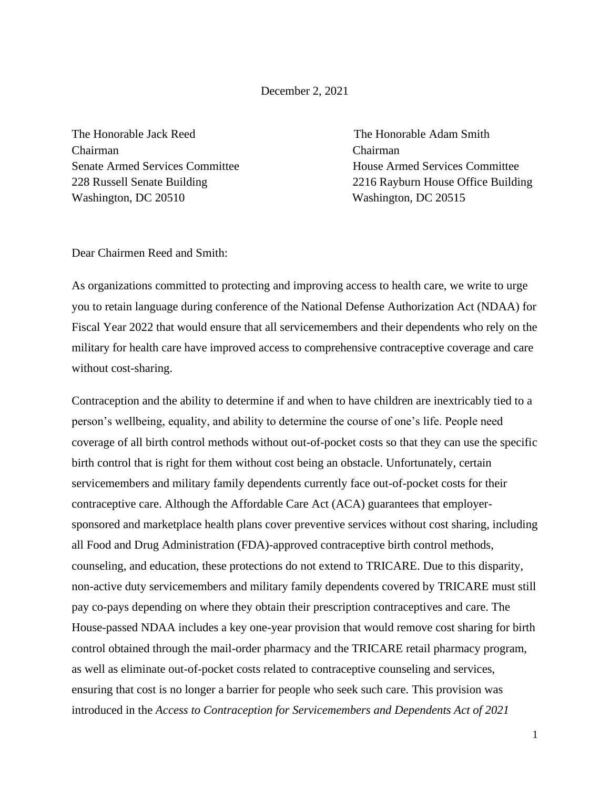## December 2, 2021

The Honorable Jack Reed The Honorable Adam Smith Chairman Chairman Washington, DC 20510 Washington, DC 20515

Senate Armed Services Committee House Armed Services Committee 228 Russell Senate Building 2216 Rayburn House Office Building

Dear Chairmen Reed and Smith:

As organizations committed to protecting and improving access to health care, we write to urge you to retain language during conference of the National Defense Authorization Act (NDAA) for Fiscal Year 2022 that would ensure that all servicemembers and their dependents who rely on the military for health care have improved access to comprehensive contraceptive coverage and care without cost-sharing.

Contraception and the ability to determine if and when to have children are inextricably tied to a person's wellbeing, equality, and ability to determine the course of one's life. People need coverage of all birth control methods without out-of-pocket costs so that they can use the specific birth control that is right for them without cost being an obstacle. Unfortunately, certain servicemembers and military family dependents currently face out-of-pocket costs for their contraceptive care. Although the Affordable Care Act (ACA) guarantees that employersponsored and marketplace health plans cover preventive services without cost sharing, including all Food and Drug Administration (FDA)-approved contraceptive birth control methods, counseling, and education, these protections do not extend to TRICARE. Due to this disparity, non-active duty servicemembers and military family dependents covered by TRICARE must still pay co-pays depending on where they obtain their prescription contraceptives and care. The House-passed NDAA includes a key one-year provision that would remove cost sharing for birth control obtained through the mail-order pharmacy and the TRICARE retail pharmacy program, as well as eliminate out-of-pocket costs related to contraceptive counseling and services, ensuring that cost is no longer a barrier for people who seek such care. This provision was introduced in the *Access to Contraception for Servicemembers and Dependents Act of 2021* 

1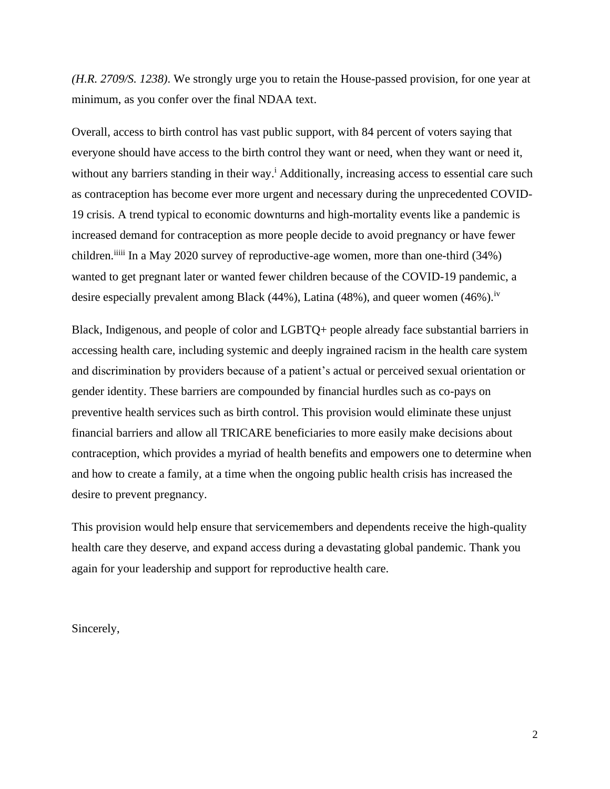*(H.R. 2709/S. 1238)*. We strongly urge you to retain the House-passed provision, for one year at minimum, as you confer over the final NDAA text.

Overall, access to birth control has vast public support, with 84 percent of voters saying that everyone should have access to the birth control they want or need, when they want or need it, without any barriers standing in their way.<sup>i</sup> Additionally, increasing access to essential care such as contraception has become ever more urgent and necessary during the unprecedented COVID-19 crisis. A trend typical to economic downturns and high-mortality events like a pandemic is increased demand for contraception as more people decide to avoid pregnancy or have fewer children.<sup>iiiii</sup> In a May 2020 survey of reproductive-age women, more than one-third (34%) wanted to get pregnant later or wanted fewer children because of the COVID-19 pandemic, a desire especially prevalent among Black (44%), Latina (48%), and queer women (46%).<sup>iv</sup>

Black, Indigenous, and people of color and LGBTQ+ people already face substantial barriers in accessing health care, including systemic and deeply ingrained racism in the health care system and discrimination by providers because of a patient's actual or perceived sexual orientation or gender identity. These barriers are compounded by financial hurdles such as co-pays on preventive health services such as birth control. This provision would eliminate these unjust financial barriers and allow all TRICARE beneficiaries to more easily make decisions about contraception, which provides a myriad of health benefits and empowers one to determine when and how to create a family, at a time when the ongoing public health crisis has increased the desire to prevent pregnancy.

This provision would help ensure that servicemembers and dependents receive the high-quality health care they deserve, and expand access during a devastating global pandemic. Thank you again for your leadership and support for reproductive health care.

Sincerely,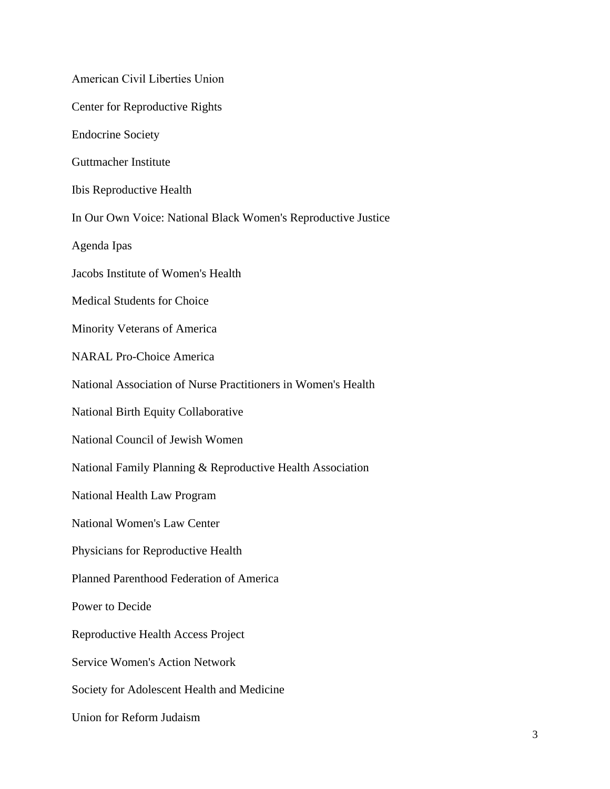American Civil Liberties Union Center for Reproductive Rights Endocrine Society Guttmacher Institute Ibis Reproductive Health In Our Own Voice: National Black Women's Reproductive Justice Agenda Ipas Jacobs Institute of Women's Health Medical Students for Choice Minority Veterans of America NARAL Pro-Choice America National Association of Nurse Practitioners in Women's Health National Birth Equity Collaborative National Council of Jewish Women National Family Planning & Reproductive Health Association National Health Law Program National Women's Law Center Physicians for Reproductive Health Planned Parenthood Federation of America Power to Decide Reproductive Health Access Project Service Women's Action Network Society for Adolescent Health and Medicine Union for Reform Judaism